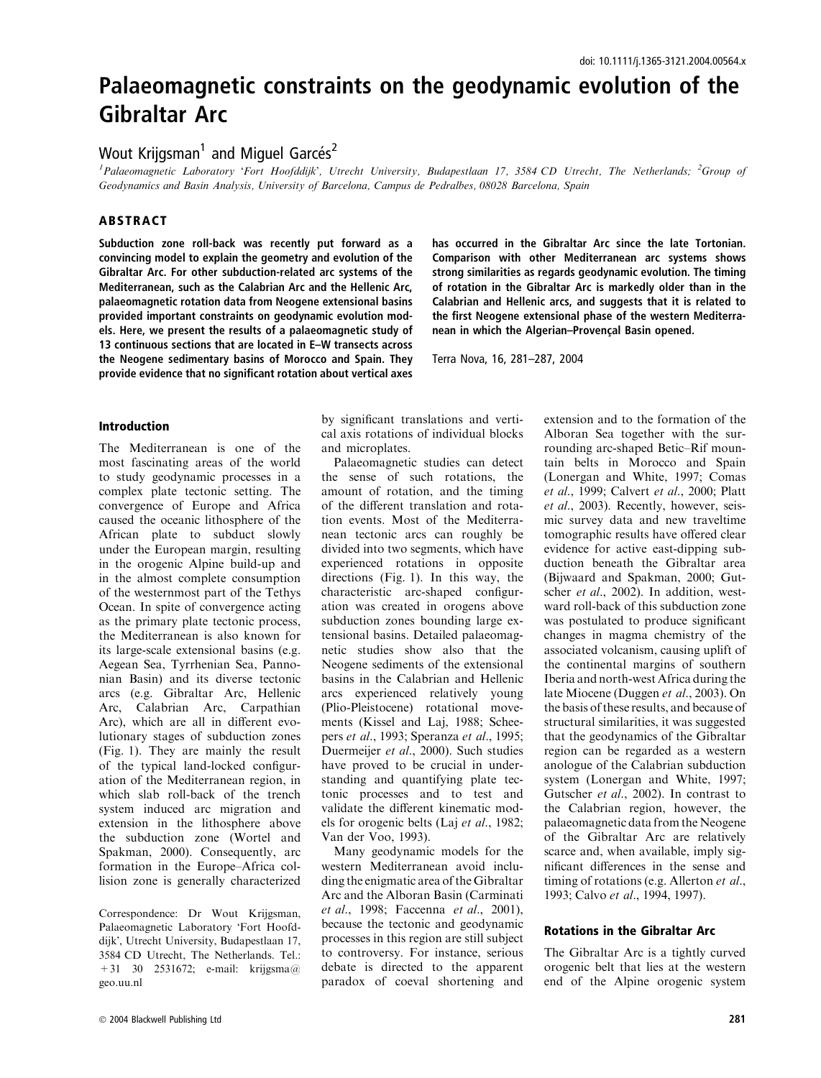# Palaeomagnetic constraints on the geodynamic evolution of the Gibraltar Arc

## Wout Krijgsman<sup>1</sup> and Miguel Garcés<sup>2</sup>

<sup>1</sup>Palaeomagnetic Laboratory 'Fort Hoofddijk', Utrecht University, Budapestlaan 17, 3584 CD Utrecht, The Netherlands; <sup>2</sup>Group of Geodynamics and Basin Analysis, University of Barcelona, Campus de Pedralbes, 08028 Barcelona, Spain

## ABSTRACT

Subduction zone roll-back was recently put forward as a convincing model to explain the geometry and evolution of the Gibraltar Arc. For other subduction-related arc systems of the Mediterranean, such as the Calabrian Arc and the Hellenic Arc, palaeomagnetic rotation data from Neogene extensional basins provided important constraints on geodynamic evolution models. Here, we present the results of a palaeomagnetic study of 13 continuous sections that are located in E–W transects across the Neogene sedimentary basins of Morocco and Spain. They provide evidence that no significant rotation about vertical axes

has occurred in the Gibraltar Arc since the late Tortonian. Comparison with other Mediterranean arc systems shows strong similarities as regards geodynamic evolution. The timing of rotation in the Gibraltar Arc is markedly older than in the Calabrian and Hellenic arcs, and suggests that it is related to the first Neogene extensional phase of the western Mediterranean in which the Algerian–Provençal Basin opened.

Terra Nova, 16, 281–287, 2004

## Introduction

The Mediterranean is one of the most fascinating areas of the world to study geodynamic processes in a complex plate tectonic setting. The convergence of Europe and Africa caused the oceanic lithosphere of the African plate to subduct slowly under the European margin, resulting in the orogenic Alpine build-up and in the almost complete consumption of the westernmost part of the Tethys Ocean. In spite of convergence acting as the primary plate tectonic process, the Mediterranean is also known for its large-scale extensional basins (e.g. Aegean Sea, Tyrrhenian Sea, Pannonian Basin) and its diverse tectonic arcs (e.g. Gibraltar Arc, Hellenic Arc, Calabrian Arc, Carpathian Arc), which are all in different evolutionary stages of subduction zones (Fig. 1). They are mainly the result of the typical land-locked configuration of the Mediterranean region, in which slab roll-back of the trench system induced arc migration and extension in the lithosphere above the subduction zone (Wortel and Spakman, 2000). Consequently, arc formation in the Europe–Africa collision zone is generally characterized

Correspondence: Dr Wout Krijgsman, Palaeomagnetic Laboratory Fort Hoofddijk-, Utrecht University, Budapestlaan 17, 3584 CD Utrecht, The Netherlands. Tel.: +31 30 2531672; e-mail: krijgsma@ geo.uu.nl

by significant translations and vertical axis rotations of individual blocks and microplates.

Palaeomagnetic studies can detect the sense of such rotations, the amount of rotation, and the timing of the different translation and rotation events. Most of the Mediterranean tectonic arcs can roughly be divided into two segments, which have experienced rotations in opposite directions (Fig. 1). In this way, the characteristic arc-shaped configuration was created in orogens above subduction zones bounding large extensional basins. Detailed palaeomagnetic studies show also that the Neogene sediments of the extensional basins in the Calabrian and Hellenic arcs experienced relatively young (Plio-Pleistocene) rotational movements (Kissel and Laj, 1988; Scheepers et al., 1993; Speranza et al., 1995; Duermeijer et al., 2000). Such studies have proved to be crucial in understanding and quantifying plate tectonic processes and to test and validate the different kinematic models for orogenic belts (Laj et al., 1982; Van der Voo, 1993).

Many geodynamic models for the western Mediterranean avoid including the enigmatic area of the Gibraltar Arc and the Alboran Basin (Carminati et al., 1998; Faccenna et al., 2001), because the tectonic and geodynamic processes in this region are still subject to controversy. For instance, serious debate is directed to the apparent paradox of coeval shortening and

extension and to the formation of the Alboran Sea together with the surrounding arc-shaped Betic–Rif mountain belts in Morocco and Spain (Lonergan and White, 1997; Comas et al., 1999; Calvert et al., 2000; Platt et al., 2003). Recently, however, seismic survey data and new traveltime tomographic results have offered clear evidence for active east-dipping subduction beneath the Gibraltar area (Bijwaard and Spakman, 2000; Gutscher *et al.*, 2002). In addition, westward roll-back of this subduction zone was postulated to produce significant changes in magma chemistry of the associated volcanism, causing uplift of the continental margins of southern Iberia and north-west Africa during the late Miocene (Duggen et al., 2003). On the basis of these results, and because of structural similarities, it was suggested that the geodynamics of the Gibraltar region can be regarded as a western anologue of the Calabrian subduction system (Lonergan and White, 1997; Gutscher et al., 2002). In contrast to the Calabrian region, however, the palaeomagnetic data from the Neogene of the Gibraltar Arc are relatively scarce and, when available, imply significant differences in the sense and timing of rotations (e.g. Allerton *et al.*, 1993; Calvo et al., 1994, 1997).

### Rotations in the Gibraltar Arc

The Gibraltar Arc is a tightly curved orogenic belt that lies at the western end of the Alpine orogenic system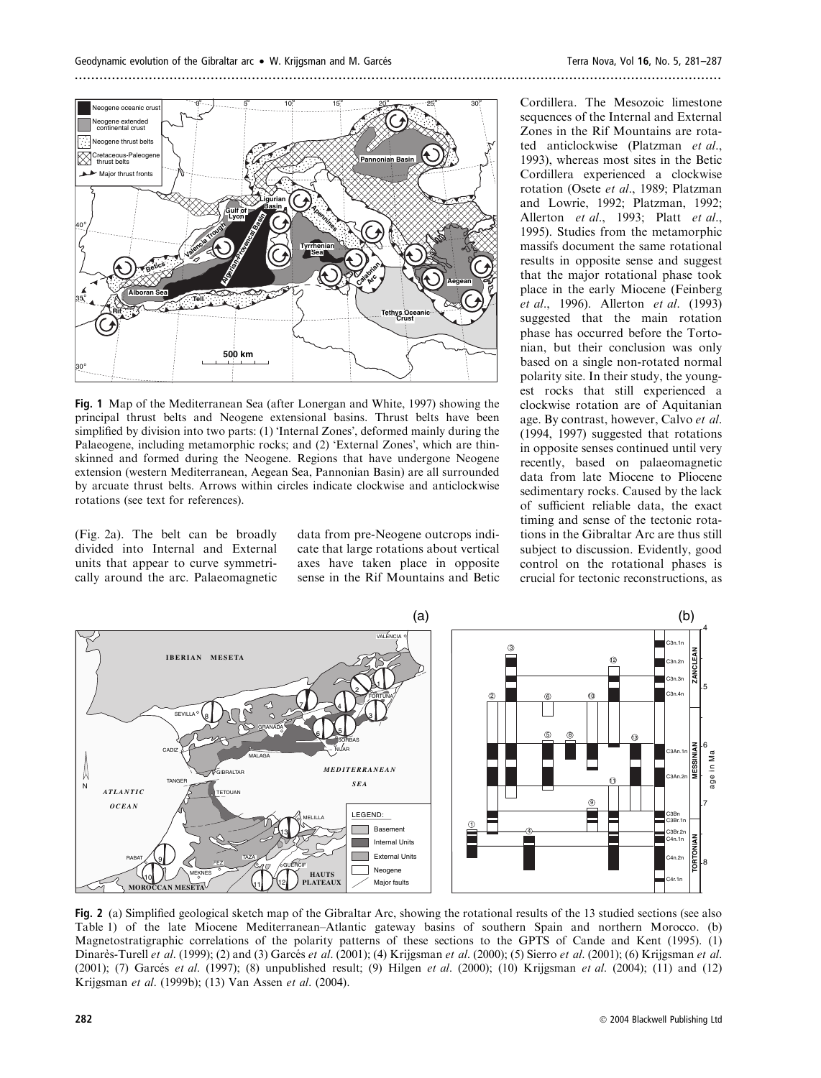

Fig. 1 Map of the Mediterranean Sea (after Lonergan and White, 1997) showing the principal thrust belts and Neogene extensional basins. Thrust belts have been simplified by division into two parts: (1) 'Internal Zones', deformed mainly during the Palaeogene, including metamorphic rocks; and (2) 'External Zones', which are thinskinned and formed during the Neogene. Regions that have undergone Neogene extension (western Mediterranean, Aegean Sea, Pannonian Basin) are all surrounded by arcuate thrust belts. Arrows within circles indicate clockwise and anticlockwise rotations (see text for references).

(Fig. 2a). The belt can be broadly divided into Internal and External units that appear to curve symmetrically around the arc. Palaeomagnetic

data from pre-Neogene outcrops indicate that large rotations about vertical axes have taken place in opposite sense in the Rif Mountains and Betic Cordillera. The Mesozoic limestone sequences of the Internal and External Zones in the Rif Mountains are rotated anticlockwise (Platzman et al., 1993), whereas most sites in the Betic Cordillera experienced a clockwise rotation (Osete et al., 1989; Platzman and Lowrie, 1992; Platzman, 1992; Allerton et al., 1993; Platt et al., 1995). Studies from the metamorphic massifs document the same rotational results in opposite sense and suggest that the major rotational phase took place in the early Miocene (Feinberg et al., 1996). Allerton et al. (1993) suggested that the main rotation phase has occurred before the Tortonian, but their conclusion was only based on a single non-rotated normal polarity site. In their study, the youngest rocks that still experienced a clockwise rotation are of Aquitanian age. By contrast, however, Calvo et al. (1994, 1997) suggested that rotations in opposite senses continued until very recently, based on palaeomagnetic data from late Miocene to Pliocene sedimentary rocks. Caused by the lack of sufficient reliable data, the exact timing and sense of the tectonic rotations in the Gibraltar Arc are thus still subject to discussion. Evidently, good control on the rotational phases is crucial for tectonic reconstructions, as



Fig. 2 (a) Simplified geological sketch map of the Gibraltar Arc, showing the rotational results of the 13 studied sections (see also Table 1) of the late Miocene Mediterranean–Atlantic gateway basins of southern Spain and northern Morocco. (b) Magnetostratigraphic correlations of the polarity patterns of these sections to the GPTS of Cande and Kent (1995). (1) Dinarès-Turell et al. (1999); (2) and (3) Garcés et al. (2001); (4) Krijgsman et al. (2000); (5) Sierro et al. (2001); (6) Krijgsman et al. (2001); (7) Garcés et al. (1997); (8) unpublished result; (9) Hilgen et al. (2000); (10) Krijgsman et al. (2004); (11) and (12) Krijgsman et al. (1999b); (13) Van Assen et al. (2004).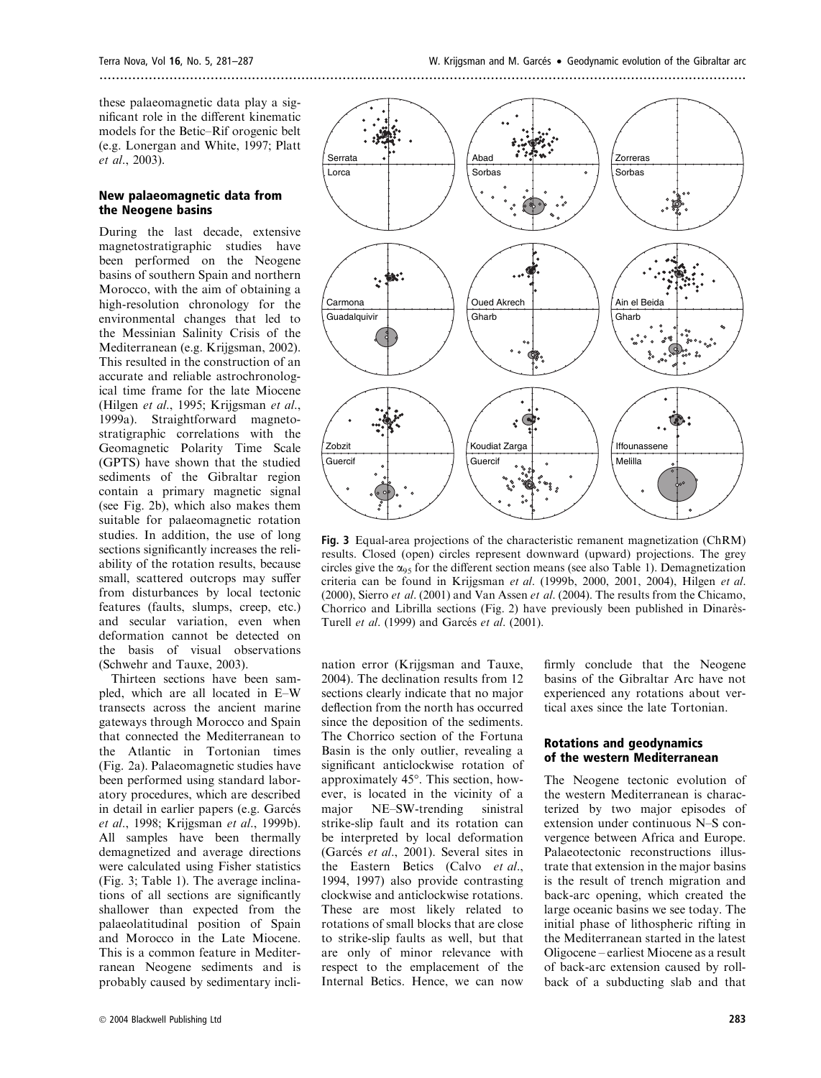these palaeomagnetic data play a significant role in the different kinematic models for the Betic–Rif orogenic belt (e.g. Lonergan and White, 1997; Platt et al., 2003).

## New palaeomagnetic data from the Neogene basins

During the last decade, extensive magnetostratigraphic studies have been performed on the Neogene basins of southern Spain and northern Morocco, with the aim of obtaining a high-resolution chronology for the environmental changes that led to the Messinian Salinity Crisis of the Mediterranean (e.g. Krijgsman, 2002). This resulted in the construction of an accurate and reliable astrochronological time frame for the late Miocene (Hilgen et al., 1995; Krijgsman et al., 1999a). Straightforward magnetostratigraphic correlations with the Geomagnetic Polarity Time Scale (GPTS) have shown that the studied sediments of the Gibraltar region contain a primary magnetic signal (see Fig. 2b), which also makes them suitable for palaeomagnetic rotation studies. In addition, the use of long sections significantly increases the reliability of the rotation results, because small, scattered outcrops may suffer from disturbances by local tectonic features (faults, slumps, creep, etc.) and secular variation, even when deformation cannot be detected on the basis of visual observations (Schwehr and Tauxe, 2003).

Thirteen sections have been sampled, which are all located in E–W transects across the ancient marine gateways through Morocco and Spain that connected the Mediterranean to the Atlantic in Tortonian times (Fig. 2a). Palaeomagnetic studies have been performed using standard laboratory procedures, which are described in detail in earlier papers (e.g. Garcés et al., 1998; Krijgsman et al., 1999b). All samples have been thermally demagnetized and average directions were calculated using Fisher statistics (Fig. 3; Table 1). The average inclinations of all sections are significantly shallower than expected from the palaeolatitudinal position of Spain and Morocco in the Late Miocene. This is a common feature in Mediterranean Neogene sediments and is probably caused by sedimentary incli-



Fig. 3 Equal-area projections of the characteristic remanent magnetization (ChRM) results. Closed (open) circles represent downward (upward) projections. The grey circles give the  $\alpha_{95}$  for the different section means (see also Table 1). Demagnetization criteria can be found in Krijgsman et al.  $(1999b, 2000, 2001, 2004)$ , Hilgen et al. (2000), Sierro et al. (2001) and Van Assen et al. (2004). The results from the Chicamo, Chorrico and Librilla sections (Fig. 2) have previously been published in Dinares-Turell et al. (1999) and Garcés et al. (2001).

nation error (Krijgsman and Tauxe, 2004). The declination results from 12 sections clearly indicate that no major deflection from the north has occurred since the deposition of the sediments. The Chorrico section of the Fortuna Basin is the only outlier, revealing a significant anticlockwise rotation of approximately 45°. This section, however, is located in the vicinity of a major NE–SW-trending sinistral strike-slip fault and its rotation can be interpreted by local deformation (Garcés et al., 2001). Several sites in the Eastern Betics (Calvo et al., 1994, 1997) also provide contrasting clockwise and anticlockwise rotations. These are most likely related to rotations of small blocks that are close to strike-slip faults as well, but that are only of minor relevance with respect to the emplacement of the Internal Betics. Hence, we can now firmly conclude that the Neogene basins of the Gibraltar Arc have not experienced any rotations about vertical axes since the late Tortonian.

## Rotations and geodynamics of the western Mediterranean

The Neogene tectonic evolution of the western Mediterranean is characterized by two major episodes of extension under continuous N–S convergence between Africa and Europe. Palaeotectonic reconstructions illustrate that extension in the major basins is the result of trench migration and back-arc opening, which created the large oceanic basins we see today. The initial phase of lithospheric rifting in the Mediterranean started in the latest Oligocene – earliest Miocene as a result of back-arc extension caused by rollback of a subducting slab and that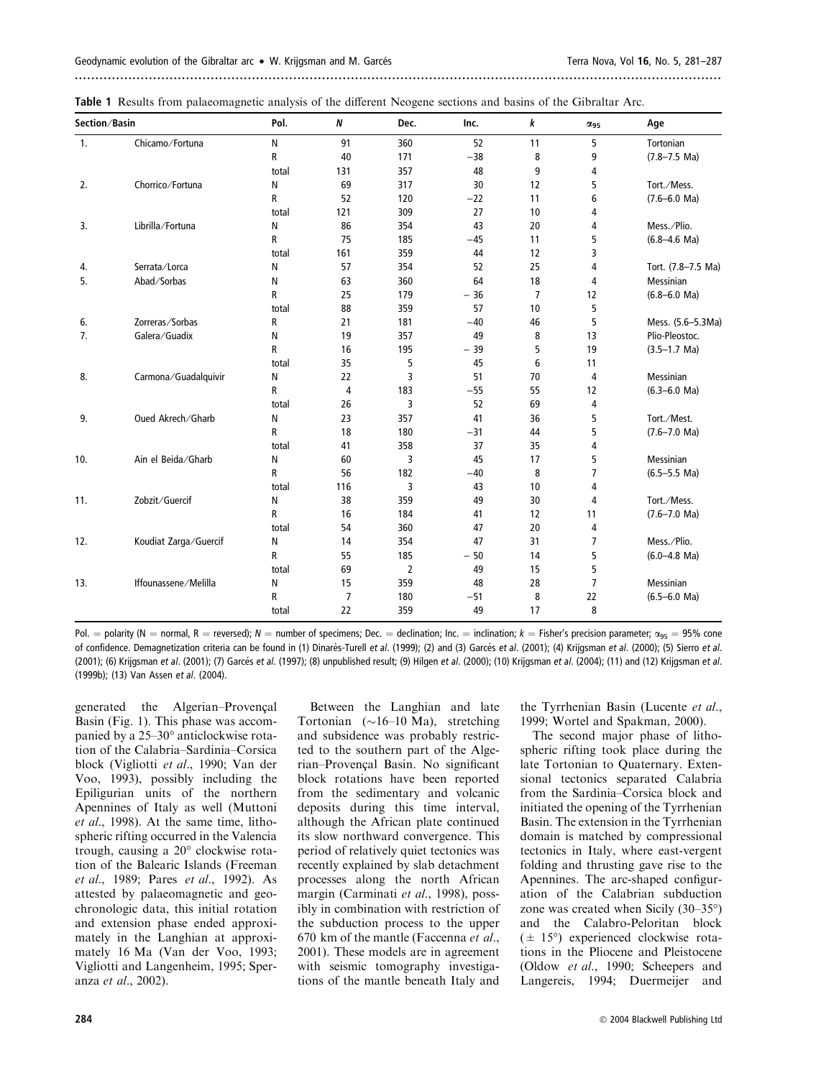| Section/Basin |                       | Pol.  | N              | Dec. | Inc.  | k  | $\alpha_{95}$  | Age                    |
|---------------|-----------------------|-------|----------------|------|-------|----|----------------|------------------------|
| 1.            | Chicamo/Fortuna       | Ν     | 91             | 360  | 52    | 11 | 5              | Tortonian              |
|               |                       | R     | 40             | 171  | $-38$ | 8  | 9              | $(7.8 - 7.5$ Ma)       |
|               |                       | total | 131            | 357  | 48    | 9  | 4              |                        |
| 2.            | Chorrico/Fortuna      | Ν     | 69             | 317  | 30    | 12 | 5              | Tort./Mess.            |
|               |                       | R     | 52             | 120  | $-22$ | 11 | 6              | $(7.6 - 6.0$ Ma)       |
|               |                       | total | 121            | 309  | 27    | 10 | $\overline{4}$ |                        |
| 3.            | Librilla/Fortuna      | Ν     | 86             | 354  | 43    | 20 | 4              | Mess./Plio.            |
|               |                       | R     | 75             | 185  | $-45$ | 11 | 5              | $(6.8 - 4.6$ Ma)       |
|               |                       | total | 161            | 359  | 44    | 12 | 3              |                        |
| 4.            | Serrata/Lorca         | N     | 57             | 354  | 52    | 25 | 4              | Tort. (7.8-7.5 Ma)     |
| 5.            | Abad/Sorbas           | N     | 63             | 360  | 64    | 18 | 4              | Messinian              |
|               |                       | R     | 25             | 179  | $-36$ | 7  | 12             | $(6.8 - 6.0$ Ma)       |
|               |                       | total | 88             | 359  | 57    | 10 | 5              |                        |
| 6.            | Zorreras/Sorbas       | R     | 21             | 181  | $-40$ | 46 | 5              | Mess. (5.6-5.3Ma)      |
| 7.            | Galera/Guadix         | Ν     | 19             | 357  | 49    | 8  | 13             | Plio-Pleostoc.         |
|               |                       | R     | 16             | 195  | $-39$ | 5  | 19             | $(3.5-1.7 \text{ Ma})$ |
|               |                       | total | 35             | 5    | 45    | 6  | 11             |                        |
| 8.            | Carmona/Guadalquivir  | Ν     | 22             | 3    | 51    | 70 | 4              | Messinian              |
|               |                       | R.    | $\overline{4}$ | 183  | $-55$ | 55 | 12             | $(6.3 - 6.0$ Ma)       |
|               |                       | total | 26             | 3    | 52    | 69 | 4              |                        |
| 9.            | Oued Akrech/Gharb     | Ν     | 23             | 357  | 41    | 36 | 5              | Tort./Mest.            |
|               |                       | R     | 18             | 180  | $-31$ | 44 | 5              | $(7.6 - 7.0$ Ma)       |
|               |                       | total | 41             | 358  | 37    | 35 | 4              |                        |
| 10.           | Ain el Beida/Gharb    | Ν     | 60             | 3    | 45    | 17 | 5              | Messinian              |
|               |                       | R     | 56             | 182  | $-40$ | 8  | 7              | $(6.5 - 5.5$ Ma)       |
|               |                       | total | 116            | 3    | 43    | 10 | 4              |                        |
| 11.           | Zobzit/Guercif        | Ν     | 38             | 359  | 49    | 30 | 4              | Tort./Mess.            |
|               |                       | R     | 16             | 184  | 41    | 12 | 11             | $(7.6 - 7.0$ Ma)       |
|               |                       | total | 54             | 360  | 47    | 20 | 4              |                        |
| 12.           | Koudiat Zarga/Guercif | N     | 14             | 354  | 47    | 31 | 7              | Mess./Plio.            |
|               |                       | R     | 55             | 185  | $-50$ | 14 | 5              | $(6.0 - 4.8$ Ma)       |
|               |                       | total | 69             | 2    | 49    | 15 | 5              |                        |
| 13.           | Iffounassene/Melilla  | Ν     | 15             | 359  | 48    | 28 | $\overline{7}$ | Messinian              |
|               |                       | R     | $\overline{7}$ | 180  | $-51$ | 8  | 22             | $(6.5 - 6.0$ Ma)       |
|               |                       | total | 22             | 359  | 49    | 17 | 8              |                        |

Table 1 Results from palaeomagnetic analysis of the different Neogene sections and basins of the Gibraltar Arc.

Pol. = polarity (N = normal, R = reversed); N = number of specimens; Dec. = declination; Inc. = inclination; k = Fisher's precision parameter;  $\alpha_{95}$  = 95% cone of confidence. Demagnetization criteria can be found in (1) Dinarès-Turell et al. (1999); (2) and (3) Garcés et al. (2001); (4) Krijgsman et al. (2000); (5) Sierro et al. (2001); (6) Krijgsman et al. (2001); (7) Garcés et al. (1997); (8) unpublished result; (9) Hilgen et al. (2000); (10) Krijgsman et al. (2004); (11) and (12) Krijgsman et al. (1999b); (13) Van Assen et al. (2004).

generated the Algerian–Provençal Basin (Fig. 1). This phase was accompanied by a 25–30° anticlockwise rotation of the Calabria–Sardinia–Corsica block (Vigliotti et al., 1990; Van der Voo, 1993), possibly including the Epiligurian units of the northern Apennines of Italy as well (Muttoni et al., 1998). At the same time, lithospheric rifting occurred in the Valencia trough, causing a 20° clockwise rotation of the Balearic Islands (Freeman et al., 1989; Pares et al., 1992). As attested by palaeomagnetic and geochronologic data, this initial rotation and extension phase ended approximately in the Langhian at approximately 16 Ma (Van der Voo, 1993; Vigliotti and Langenheim, 1995; Speranza et al., 2002).

Between the Langhian and late Tortonian  $(\sim16-10 \text{ Ma})$ , stretching and subsidence was probably restricted to the southern part of the Algerian–Provençal Basin. No significant block rotations have been reported from the sedimentary and volcanic deposits during this time interval, although the African plate continued its slow northward convergence. This period of relatively quiet tectonics was recently explained by slab detachment processes along the north African margin (Carminati et al., 1998), possibly in combination with restriction of the subduction process to the upper 670 km of the mantle (Faccenna et al., 2001). These models are in agreement with seismic tomography investigations of the mantle beneath Italy and

the Tyrrhenian Basin (Lucente et al., 1999; Wortel and Spakman, 2000).

The second major phase of lithospheric rifting took place during the late Tortonian to Quaternary. Extensional tectonics separated Calabria from the Sardinia–Corsica block and initiated the opening of the Tyrrhenian Basin. The extension in the Tyrrhenian domain is matched by compressional tectonics in Italy, where east-vergent folding and thrusting gave rise to the Apennines. The arc-shaped configuration of the Calabrian subduction zone was created when Sicily (30–35°) and the Calabro-Peloritan block  $(\pm 15^{\circ})$  experienced clockwise rotations in the Pliocene and Pleistocene (Oldow et al., 1990; Scheepers and Langereis, 1994; Duermeijer and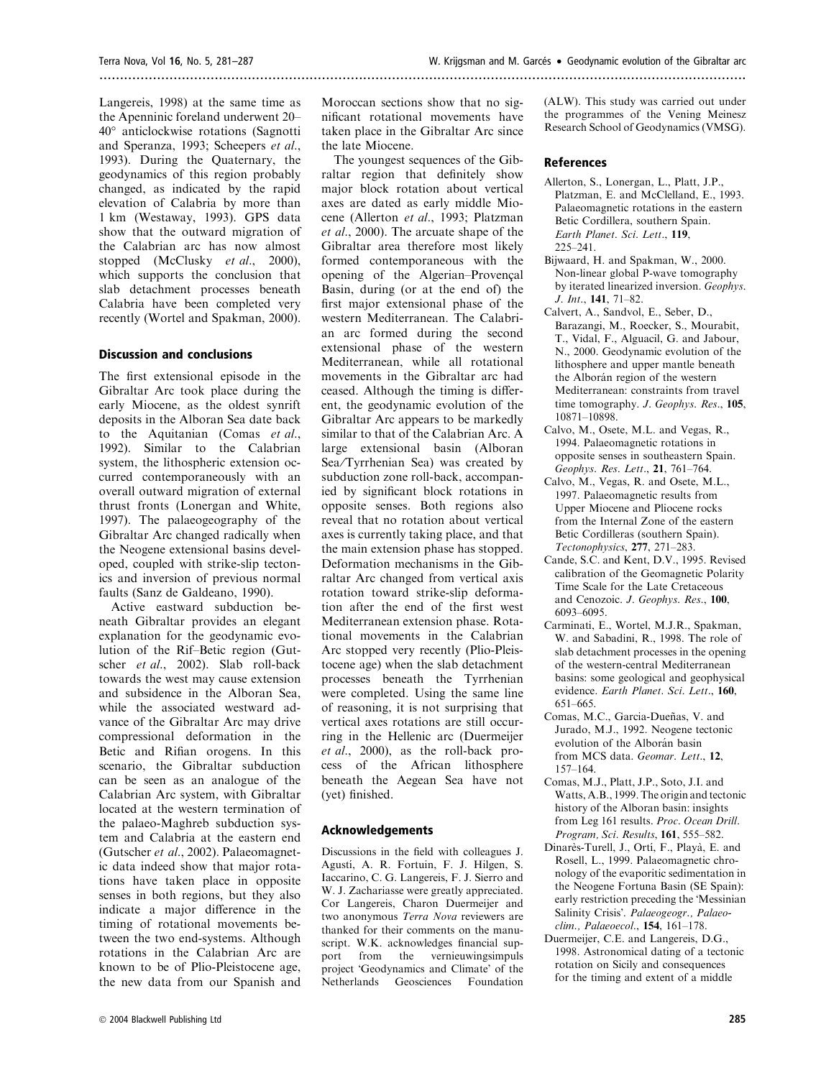Langereis, 1998) at the same time as the Apenninic foreland underwent 20– 40° anticlockwise rotations (Sagnotti and Speranza, 1993; Scheepers et al., 1993). During the Quaternary, the geodynamics of this region probably changed, as indicated by the rapid elevation of Calabria by more than 1 km (Westaway, 1993). GPS data show that the outward migration of the Calabrian arc has now almost stopped (McClusky et al., 2000), which supports the conclusion that slab detachment processes beneath Calabria have been completed very recently (Wortel and Spakman, 2000).

## Discussion and conclusions

The first extensional episode in the Gibraltar Arc took place during the early Miocene, as the oldest synrift deposits in the Alboran Sea date back to the Aquitanian (Comas et al., 1992). Similar to the Calabrian system, the lithospheric extension occurred contemporaneously with an overall outward migration of external thrust fronts (Lonergan and White, 1997). The palaeogeography of the Gibraltar Arc changed radically when the Neogene extensional basins developed, coupled with strike-slip tectonics and inversion of previous normal faults (Sanz de Galdeano, 1990).

Active eastward subduction beneath Gibraltar provides an elegant explanation for the geodynamic evolution of the Rif–Betic region (Gutscher et al., 2002). Slab roll-back towards the west may cause extension and subsidence in the Alboran Sea, while the associated westward advance of the Gibraltar Arc may drive compressional deformation in the Betic and Rifian orogens. In this scenario, the Gibraltar subduction can be seen as an analogue of the Calabrian Arc system, with Gibraltar located at the western termination of the palaeo-Maghreb subduction system and Calabria at the eastern end (Gutscher et al., 2002). Palaeomagnetic data indeed show that major rotations have taken place in opposite senses in both regions, but they also indicate a major difference in the timing of rotational movements between the two end-systems. Although rotations in the Calabrian Arc are known to be of Plio-Pleistocene age, the new data from our Spanish and

Moroccan sections show that no significant rotational movements have taken place in the Gibraltar Arc since the late Miocene.

The youngest sequences of the Gibraltar region that definitely show major block rotation about vertical axes are dated as early middle Miocene (Allerton et al., 1993; Platzman et al., 2000). The arcuate shape of the Gibraltar area therefore most likely formed contemporaneous with the opening of the Algerian–Provençal Basin, during (or at the end of) the first major extensional phase of the western Mediterranean. The Calabrian arc formed during the second extensional phase of the western Mediterranean, while all rotational movements in the Gibraltar arc had ceased. Although the timing is different, the geodynamic evolution of the Gibraltar Arc appears to be markedly similar to that of the Calabrian Arc. A large extensional basin (Alboran Sea/Tyrrhenian Sea) was created by subduction zone roll-back, accompanied by significant block rotations in opposite senses. Both regions also reveal that no rotation about vertical axes is currently taking place, and that the main extension phase has stopped. Deformation mechanisms in the Gibraltar Arc changed from vertical axis rotation toward strike-slip deformation after the end of the first west Mediterranean extension phase. Rotational movements in the Calabrian Arc stopped very recently (Plio-Pleistocene age) when the slab detachment processes beneath the Tyrrhenian were completed. Using the same line of reasoning, it is not surprising that vertical axes rotations are still occurring in the Hellenic arc (Duermeijer et al., 2000), as the roll-back process of the African lithosphere beneath the Aegean Sea have not (yet) finished.

## Acknowledgements

Discussions in the field with colleagues J. Agustí, A. R. Fortuin, F. J. Hilgen, S. Iaccarino, C. G. Langereis, F. J. Sierro and W. J. Zachariasse were greatly appreciated. Cor Langereis, Charon Duermeijer and two anonymous Terra Nova reviewers are thanked for their comments on the manuscript. W.K. acknowledges financial support from the vernieuwingsimpuls project 'Geodynamics and Climate' of the Netherlands Geosciences Foundation (ALW). This study was carried out under the programmes of the Vening Meinesz Research School of Geodynamics (VMSG).

## References

- Allerton, S., Lonergan, L., Platt, J.P., Platzman, E. and McClelland, E., 1993. Palaeomagnetic rotations in the eastern Betic Cordillera, southern Spain. Earth Planet. Sci. Lett., 119, 225–241.
- Bijwaard, H. and Spakman, W., 2000. Non-linear global P-wave tomography by iterated linearized inversion. Geophys. J. Int., 141, 71–82.
- Calvert, A., Sandvol, E., Seber, D., Barazangi, M., Roecker, S., Mourabit, T., Vidal, F., Alguacil, G. and Jabour, N., 2000. Geodynamic evolution of the lithosphere and upper mantle beneath the Alborán region of the western Mediterranean: constraints from travel time tomography. J. Geophys. Res., 105, 10871–10898.
- Calvo, M., Osete, M.L. and Vegas, R., 1994. Palaeomagnetic rotations in opposite senses in southeastern Spain. Geophys. Res. Lett., 21, 761–764.
- Calvo, M., Vegas, R. and Osete, M.L., 1997. Palaeomagnetic results from Upper Miocene and Pliocene rocks from the Internal Zone of the eastern Betic Cordilleras (southern Spain). Tectonophysics, 277, 271–283.
- Cande, S.C. and Kent, D.V., 1995. Revised calibration of the Geomagnetic Polarity Time Scale for the Late Cretaceous and Cenozoic. J. Geophys. Res., 100, 6093–6095.
- Carminati, E., Wortel, M.J.R., Spakman, W. and Sabadini, R., 1998. The role of slab detachment processes in the opening of the western-central Mediterranean basins: some geological and geophysical evidence. Earth Planet. Sci. Lett., 160, 651–665.
- Comas, M.C., Garcia-Dueñas, V. and Jurado, M.J., 1992. Neogene tectonic evolution of the Alborán basin from MCS data. Geomar. Lett., 12, 157–164.
- Comas, M.J., Platt, J.P., Soto, J.I. and Watts, A.B., 1999. The origin and tectonic history of the Alboran basin: insights from Leg 161 results. Proc. Ocean Drill. Program, Sci. Results, 161, 555–582.
- Dinarès-Turell, J., Ortí, F., Playà, E. and Rosell, L., 1999. Palaeomagnetic chronology of the evaporitic sedimentation in the Neogene Fortuna Basin (SE Spain): early restriction preceding the Messinian Salinity Crisis'. Palaeogeogr., Palaeoclim., Palaeoecol., 154, 161–178.
- Duermeijer, C.E. and Langereis, D.G., 1998. Astronomical dating of a tectonic rotation on Sicily and consequences for the timing and extent of a middle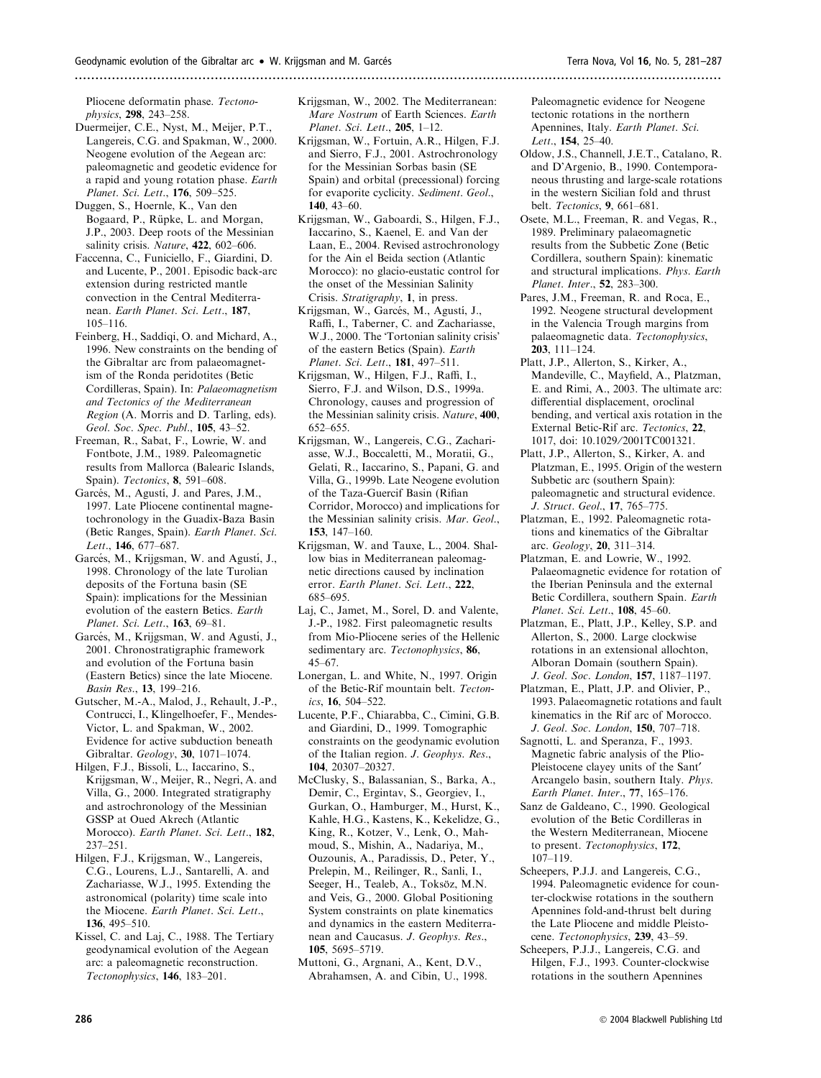Pliocene deformatin phase. Tectonophysics, 298, 243–258.

- Duermeijer, C.E., Nyst, M., Meijer, P.T., Langereis, C.G. and Spakman, W., 2000. Neogene evolution of the Aegean arc: paleomagnetic and geodetic evidence for a rapid and young rotation phase. Earth Planet. Sci. Lett., 176, 509–525.
- Duggen, S., Hoernle, K., Van den Bogaard, P., Rüpke, L. and Morgan, J.P., 2003. Deep roots of the Messinian salinity crisis. Nature, 422, 602-606.
- Faccenna, C., Funiciello, F., Giardini, D. and Lucente, P., 2001. Episodic back-arc extension during restricted mantle convection in the Central Mediterranean. Earth Planet. Sci. Lett., 187, 105–116.
- Feinberg, H., Saddiqi, O. and Michard, A., 1996. New constraints on the bending of the Gibraltar arc from palaeomagnetism of the Ronda peridotites (Betic Cordilleras, Spain). In: Palaeomagnetism and Tectonics of the Mediterranean Region (A. Morris and D. Tarling, eds). Geol. Soc. Spec. Publ., 105, 43–52.
- Freeman, R., Sabat, F., Lowrie, W. and Fontbote, J.M., 1989. Paleomagnetic results from Mallorca (Balearic Islands, Spain). Tectonics, 8, 591–608.
- Garcés, M., Agustí, J. and Pares, J.M., 1997. Late Pliocene continental magnetochronology in the Guadix-Baza Basin (Betic Ranges, Spain). Earth Planet. Sci. Lett., 146, 677–687.
- Garcés, M., Krijgsman, W. and Agustí, J., 1998. Chronology of the late Turolian deposits of the Fortuna basin (SE Spain): implications for the Messinian evolution of the eastern Betics. Earth Planet. Sci. Lett., 163, 69–81.
- Garcés, M., Krijgsman, W. and Agustí, J., 2001. Chronostratigraphic framework and evolution of the Fortuna basin (Eastern Betics) since the late Miocene. Basin Res., 13, 199–216.
- Gutscher, M.-A., Malod, J., Rehault, J.-P., Contrucci, I., Klingelhoefer, F., Mendes-Victor, L. and Spakman, W., 2002. Evidence for active subduction beneath Gibraltar. Geology, 30, 1071–1074.
- Hilgen, F.J., Bissoli, L., Iaccarino, S., Krijgsman, W., Meijer, R., Negri, A. and Villa, G., 2000. Integrated stratigraphy and astrochronology of the Messinian GSSP at Oued Akrech (Atlantic Morocco). Earth Planet. Sci. Lett., 182, 237–251.
- Hilgen, F.J., Krijgsman, W., Langereis, C.G., Lourens, L.J., Santarelli, A. and Zachariasse, W.J., 1995. Extending the astronomical (polarity) time scale into the Miocene. Earth Planet. Sci. Lett., 136, 495–510.
- Kissel, C. and Laj, C., 1988. The Tertiary geodynamical evolution of the Aegean arc: a paleomagnetic reconstruction. Tectonophysics, 146, 183–201.
- Krijgsman, W., 2002. The Mediterranean: Mare Nostrum of Earth Sciences. Earth Planet. Sci. Lett., 205, 1–12.
- Krijgsman, W., Fortuin, A.R., Hilgen, F.J. and Sierro, F.J., 2001. Astrochronology for the Messinian Sorbas basin (SE Spain) and orbital (precessional) forcing for evaporite cyclicity. Sediment. Geol., 140, 43–60.
- Krijgsman, W., Gaboardi, S., Hilgen, F.J., Iaccarino, S., Kaenel, E. and Van der Laan, E., 2004. Revised astrochronology for the Ain el Beida section (Atlantic Morocco): no glacio-eustatic control for the onset of the Messinian Salinity Crisis. Stratigraphy, 1, in press.
- Krijgsman, W., Garcés, M., Agustí, J., Raffi, I., Taberner, C. and Zachariasse, W.J., 2000. The 'Tortonian salinity crisis' of the eastern Betics (Spain). Earth Planet. Sci. Lett., 181, 497–511.
- Krijgsman, W., Hilgen, F.J., Raffi, I., Sierro, F.J. and Wilson, D.S., 1999a. Chronology, causes and progression of the Messinian salinity crisis. Nature, 400, 652–655.
- Krijgsman, W., Langereis, C.G., Zachariasse, W.J., Boccaletti, M., Moratii, G., Gelati, R., Iaccarino, S., Papani, G. and Villa, G., 1999b. Late Neogene evolution of the Taza-Guercif Basin (Rifian Corridor, Morocco) and implications for the Messinian salinity crisis. Mar. Geol., 153, 147–160.
- Krijgsman, W. and Tauxe, L., 2004. Shallow bias in Mediterranean paleomagnetic directions caused by inclination error. Earth Planet. Sci. Lett., 222, 685–695.
- Laj, C., Jamet, M., Sorel, D. and Valente, J.-P., 1982. First paleomagnetic results from Mio-Pliocene series of the Hellenic sedimentary arc. Tectonophysics, 86, 45–67.
- Lonergan, L. and White, N., 1997. Origin of the Betic-Rif mountain belt. Tectonics, 16, 504–522.
- Lucente, P.F., Chiarabba, C., Cimini, G.B. and Giardini, D., 1999. Tomographic constraints on the geodynamic evolution of the Italian region. J. Geophys. Res., 104, 20307–20327.
- McClusky, S., Balassanian, S., Barka, A., Demir, C., Ergintav, S., Georgiev, I., Gurkan, O., Hamburger, M., Hurst, K., Kahle, H.G., Kastens, K., Kekelidze, G., King, R., Kotzer, V., Lenk, O., Mahmoud, S., Mishin, A., Nadariya, M., Ouzounis, A., Paradissis, D., Peter, Y., Prelepin, M., Reilinger, R., Sanli, I., Seeger, H., Tealeb, A., Toksöz, M.N. and Veis, G., 2000. Global Positioning System constraints on plate kinematics and dynamics in the eastern Mediterranean and Caucasus. J. Geophys. Res., 105, 5695–5719.
- Muttoni, G., Argnani, A., Kent, D.V., Abrahamsen, A. and Cibin, U., 1998.

Paleomagnetic evidence for Neogene tectonic rotations in the northern Apennines, Italy. Earth Planet. Sci. Lett., 154, 25–40.

- Oldow, J.S., Channell, J.E.T., Catalano, R. and D'Argenio, B., 1990. Contemporaneous thrusting and large-scale rotations in the western Sicilian fold and thrust belt. Tectonics, 9, 661–681.
- Osete, M.L., Freeman, R. and Vegas, R., 1989. Preliminary palaeomagnetic results from the Subbetic Zone (Betic Cordillera, southern Spain): kinematic and structural implications. Phys. Earth Planet. Inter., 52, 283–300.
- Pares, J.M., Freeman, R. and Roca, E., 1992. Neogene structural development in the Valencia Trough margins from palaeomagnetic data. Tectonophysics, 203, 111–124.
- Platt, J.P., Allerton, S., Kirker, A., Mandeville, C., Mayfield, A., Platzman, E. and Rimi, A., 2003. The ultimate arc: differential displacement, oroclinal bending, and vertical axis rotation in the External Betic-Rif arc. Tectonics, 22, 1017, doi: 10.1029 ⁄ 2001TC001321.
- Platt, J.P., Allerton, S., Kirker, A. and Platzman, E., 1995. Origin of the western Subbetic arc (southern Spain): paleomagnetic and structural evidence. J. Struct. Geol., 17, 765–775.
- Platzman, E., 1992. Paleomagnetic rotations and kinematics of the Gibraltar arc. Geology, 20, 311–314.
- Platzman, E. and Lowrie, W., 1992. Palaeomagnetic evidence for rotation of the Iberian Peninsula and the external Betic Cordillera, southern Spain. Earth Planet. Sci. Lett., 108, 45–60.
- Platzman, E., Platt, J.P., Kelley, S.P. and Allerton, S., 2000. Large clockwise rotations in an extensional allochton, Alboran Domain (southern Spain). J. Geol. Soc. London, 157, 1187–1197.
- Platzman, E., Platt, J.P. and Olivier, P., 1993. Palaeomagnetic rotations and fault kinematics in the Rif arc of Morocco. J. Geol. Soc. London, 150, 707–718.
- Sagnotti, L. and Speranza, F., 1993. Magnetic fabric analysis of the Plio-Pleistocene clayey units of the Sant' Arcangelo basin, southern Italy. Phys. Earth Planet. Inter., 77, 165–176.
- Sanz de Galdeano, C., 1990. Geological evolution of the Betic Cordilleras in the Western Mediterranean, Miocene to present. Tectonophysics, 172, 107–119.
- Scheepers, P.J.J. and Langereis, C.G., 1994. Paleomagnetic evidence for counter-clockwise rotations in the southern Apennines fold-and-thrust belt during the Late Pliocene and middle Pleistocene. Tectonophysics, 239, 43–59.
- Scheepers, P.J.J., Langereis, C.G. and Hilgen, F.J., 1993. Counter-clockwise rotations in the southern Apennines